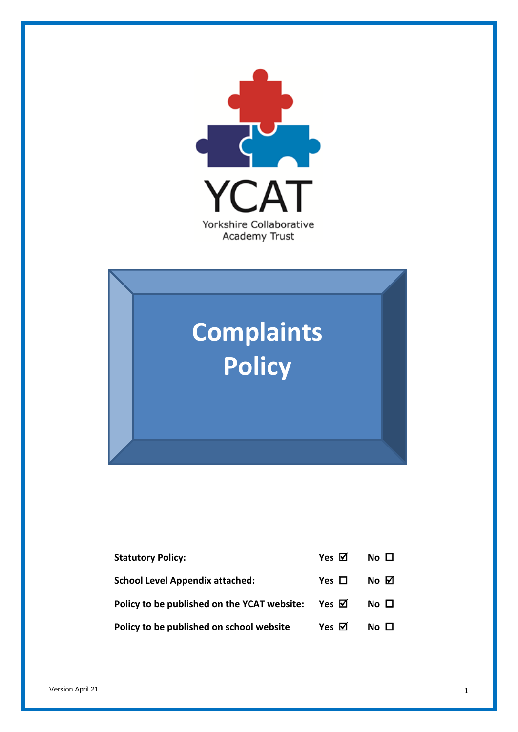



| <b>Statutory Policy:</b>                                    | Yes $\boxtimes$ | $No$ $\Box$      |
|-------------------------------------------------------------|-----------------|------------------|
| <b>School Level Appendix attached:</b>                      | Yes $\Box$      | $No$ $\boxtimes$ |
| Policy to be published on the YCAT website: Yes $\boxtimes$ |                 | No <sub>1</sub>  |
| Policy to be published on school website                    | Yes $\boxtimes$ | No <sub>1</sub>  |

Version April 21 **1**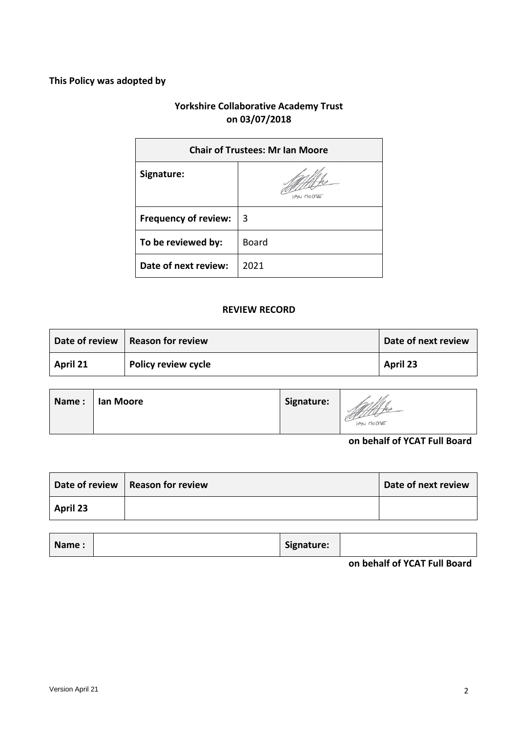# **This Policy was adopted by**

# **Yorkshire Collaborative Academy Trust on 03/07/2018**

| <b>Chair of Trustees: Mr Ian Moore</b> |              |
|----------------------------------------|--------------|
| Signature:                             | U MOCME      |
| <b>Frequency of review:</b>            | 3            |
| To be reviewed by:                     | <b>Board</b> |
| Date of next review:                   | 2021         |

### **REVIEW RECORD**

|                 | Date of review   Reason for review | Date of next review |
|-----------------|------------------------------------|---------------------|
| <b>April 21</b> | <b>Policy review cycle</b>         | April 23            |

| Name: | Ian Moore | Signature: |                                                         |
|-------|-----------|------------|---------------------------------------------------------|
|       |           |            | IAN MOONE<br>$\cdots$ $\cdots$ $\cdots$ $\cdots$<br>. . |

### **on behalf of YCAT Full Board**

|          | Date of review   Reason for review | Date of next review |
|----------|------------------------------------|---------------------|
| April 23 |                                    |                     |

| Signature:<br>Name: |
|---------------------|
|---------------------|

**on behalf of YCAT Full Board**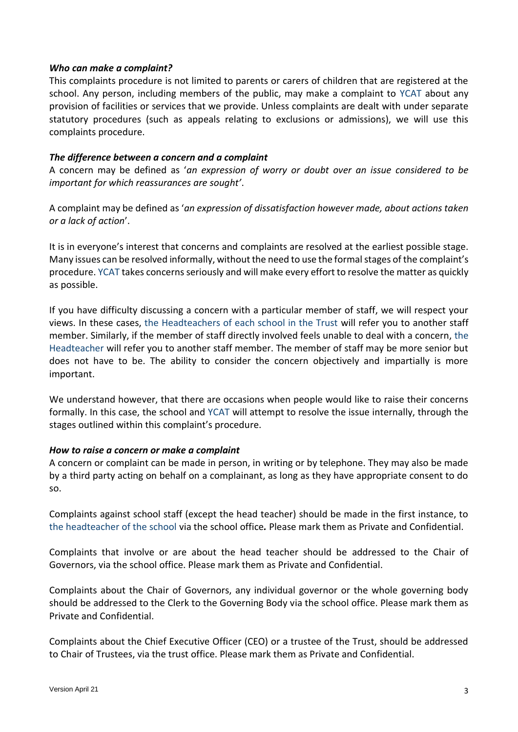#### *Who can make a complaint?*

This complaints procedure is not limited to parents or carers of children that are registered at the school. Any person, including members of the public, may make a complaint to YCAT about any provision of facilities or services that we provide. Unless complaints are dealt with under separate statutory procedures (such as appeals relating to exclusions or admissions), we will use this complaints procedure.

#### *The difference between a concern and a complaint*

A concern may be defined as '*an expression of worry or doubt over an issue considered to be important for which reassurances are sought'*.

A complaint may be defined as '*an expression of dissatisfaction however made, about actions taken or a lack of action*'.

It is in everyone's interest that concerns and complaints are resolved at the earliest possible stage. Many issues can be resolved informally, without the need to use the formal stages of the complaint's procedure. YCAT takes concerns seriously and will make every effort to resolve the matter as quickly as possible.

If you have difficulty discussing a concern with a particular member of staff, we will respect your views. In these cases, the Headteachers of each school in the Trust will refer you to another staff member. Similarly, if the member of staff directly involved feels unable to deal with a concern, the Headteacher will refer you to another staff member. The member of staff may be more senior but does not have to be. The ability to consider the concern objectively and impartially is more important.

We understand however, that there are occasions when people would like to raise their concerns formally. In this case, the school and YCAT will attempt to resolve the issue internally, through the stages outlined within this complaint's procedure.

### *How to raise a concern or make a complaint*

A concern or complaint can be made in person, in writing or by telephone. They may also be made by a third party acting on behalf on a complainant, as long as they have appropriate consent to do so.

Complaints against school staff (except the head teacher) should be made in the first instance, to the headteacher of the school via the school office*.* Please mark them as Private and Confidential.

Complaints that involve or are about the head teacher should be addressed to the Chair of Governors, via the school office. Please mark them as Private and Confidential.

Complaints about the Chair of Governors, any individual governor or the whole governing body should be addressed to the Clerk to the Governing Body via the school office. Please mark them as Private and Confidential.

Complaints about the Chief Executive Officer (CEO) or a trustee of the Trust, should be addressed to Chair of Trustees, via the trust office. Please mark them as Private and Confidential.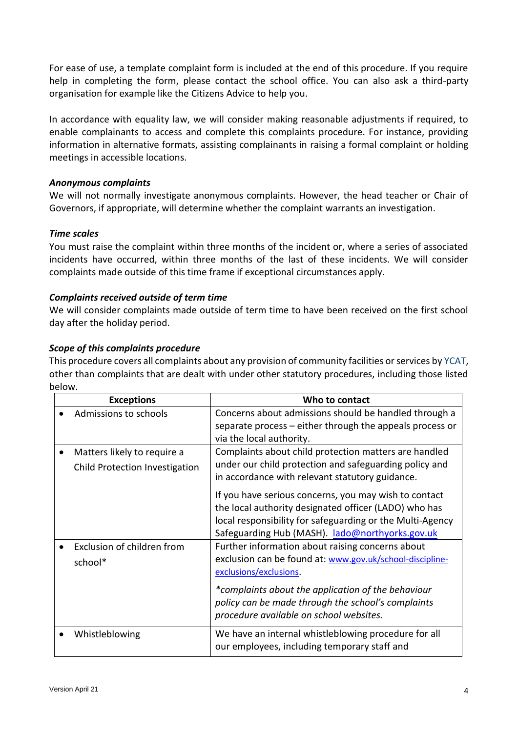For ease of use, a template complaint form is included at the end of this procedure. If you require help in completing the form, please contact the school office. You can also ask a third-party organisation for example like the Citizens Advice to help you.

In accordance with equality law, we will consider making reasonable adjustments if required, to enable complainants to access and complete this complaints procedure. For instance, providing information in alternative formats, assisting complainants in raising a formal complaint or holding meetings in accessible locations.

## *Anonymous complaints*

We will not normally investigate anonymous complaints. However, the head teacher or Chair of Governors, if appropriate, will determine whether the complaint warrants an investigation.

# *Time scales*

You must raise the complaint within three months of the incident or, where a series of associated incidents have occurred, within three months of the last of these incidents. We will consider complaints made outside of this time frame if exceptional circumstances apply.

## *Complaints received outside of term time*

We will consider complaints made outside of term time to have been received on the first school day after the holiday period.

## *Scope of this complaints procedure*

This procedure covers all complaints about any provision of community facilities or services by YCAT, other than complaints that are dealt with under other statutory procedures, including those listed below.

| <b>Exceptions</b>                                             | Who to contact                                                                                                                                                                                                                 |
|---------------------------------------------------------------|--------------------------------------------------------------------------------------------------------------------------------------------------------------------------------------------------------------------------------|
| Admissions to schools                                         | Concerns about admissions should be handled through a<br>separate process – either through the appeals process or<br>via the local authority.                                                                                  |
| Matters likely to require a<br>Child Protection Investigation | Complaints about child protection matters are handled<br>under our child protection and safeguarding policy and<br>in accordance with relevant statutory guidance.                                                             |
|                                                               | If you have serious concerns, you may wish to contact<br>the local authority designated officer (LADO) who has<br>local responsibility for safeguarding or the Multi-Agency<br>Safeguarding Hub (MASH). lado@northyorks.gov.uk |
| Exclusion of children from<br>school*                         | Further information about raising concerns about<br>exclusion can be found at: www.gov.uk/school-discipline-<br>exclusions/exclusions.                                                                                         |
|                                                               | *complaints about the application of the behaviour<br>policy can be made through the school's complaints<br>procedure available on school websites.                                                                            |
| Whistleblowing                                                | We have an internal whistleblowing procedure for all<br>our employees, including temporary staff and                                                                                                                           |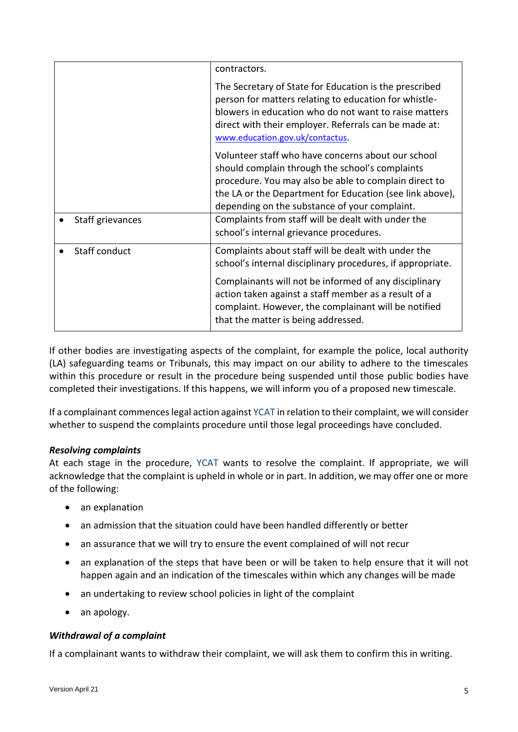|                  | contractors.                                                                                                                                                                                                                                                                |
|------------------|-----------------------------------------------------------------------------------------------------------------------------------------------------------------------------------------------------------------------------------------------------------------------------|
|                  | The Secretary of State for Education is the prescribed<br>person for matters relating to education for whistle-<br>blowers in education who do not want to raise matters<br>direct with their employer. Referrals can be made at:<br>www.education.gov.uk/contactus.        |
|                  | Volunteer staff who have concerns about our school<br>should complain through the school's complaints<br>procedure. You may also be able to complain direct to<br>the LA or the Department for Education (see link above),<br>depending on the substance of your complaint. |
| Staff grievances | Complaints from staff will be dealt with under the<br>school's internal grievance procedures.                                                                                                                                                                               |
| Staff conduct    | Complaints about staff will be dealt with under the<br>school's internal disciplinary procedures, if appropriate.                                                                                                                                                           |
|                  | Complainants will not be informed of any disciplinary<br>action taken against a staff member as a result of a<br>complaint. However, the complainant will be notified<br>that the matter is being addressed.                                                                |

If other bodies are investigating aspects of the complaint, for example the police, local authority (LA) safeguarding teams or Tribunals, this may impact on our ability to adhere to the timescales within this procedure or result in the procedure being suspended until those public bodies have completed their investigations. If this happens, we will inform you of a proposed new timescale.

If a complainant commences legal action against YCAT in relation to their complaint, we will consider whether to suspend the complaints procedure until those legal proceedings have concluded.

# *Resolving complaints*

At each stage in the procedure, YCAT wants to resolve the complaint. If appropriate, we will acknowledge that the complaint is upheld in whole or in part. In addition, we may offer one or more of the following:

- an explanation
- an admission that the situation could have been handled differently or better
- an assurance that we will try to ensure the event complained of will not recur
- an explanation of the steps that have been or will be taken to help ensure that it will not happen again and an indication of the timescales within which any changes will be made
- an undertaking to review school policies in light of the complaint
- an apology.

# *Withdrawal of a complaint*

If a complainant wants to withdraw their complaint, we will ask them to confirm this in writing.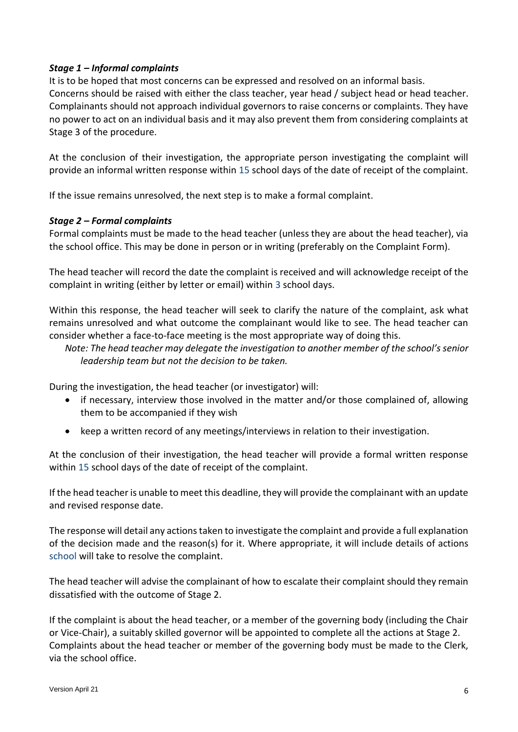## *Stage 1 – Informal complaints*

It is to be hoped that most concerns can be expressed and resolved on an informal basis. Concerns should be raised with either the class teacher, year head / subject head or head teacher. Complainants should not approach individual governors to raise concerns or complaints. They have no power to act on an individual basis and it may also prevent them from considering complaints at Stage 3 of the procedure.

At the conclusion of their investigation, the appropriate person investigating the complaint will provide an informal written response within 15 school days of the date of receipt of the complaint.

If the issue remains unresolved, the next step is to make a formal complaint.

## *Stage 2 – Formal complaints*

Formal complaints must be made to the head teacher (unless they are about the head teacher), via the school office. This may be done in person or in writing (preferably on the Complaint Form).

The head teacher will record the date the complaint is received and will acknowledge receipt of the complaint in writing (either by letter or email) within 3 school days.

Within this response, the head teacher will seek to clarify the nature of the complaint, ask what remains unresolved and what outcome the complainant would like to see. The head teacher can consider whether a face-to-face meeting is the most appropriate way of doing this.

*Note: The head teacher may delegate the investigation to another member of the school's senior leadership team but not the decision to be taken.*

During the investigation, the head teacher (or investigator) will:

- if necessary, interview those involved in the matter and/or those complained of, allowing them to be accompanied if they wish
- keep a written record of any meetings/interviews in relation to their investigation.

At the conclusion of their investigation, the head teacher will provide a formal written response within 15 school days of the date of receipt of the complaint.

If the head teacher is unable to meet this deadline, they will provide the complainant with an update and revised response date.

The response will detail any actions taken to investigate the complaint and provide a full explanation of the decision made and the reason(s) for it. Where appropriate, it will include details of actions school will take to resolve the complaint.

The head teacher will advise the complainant of how to escalate their complaint should they remain dissatisfied with the outcome of Stage 2.

If the complaint is about the head teacher, or a member of the governing body (including the Chair or Vice-Chair), a suitably skilled governor will be appointed to complete all the actions at Stage 2. Complaints about the head teacher or member of the governing body must be made to the Clerk, via the school office.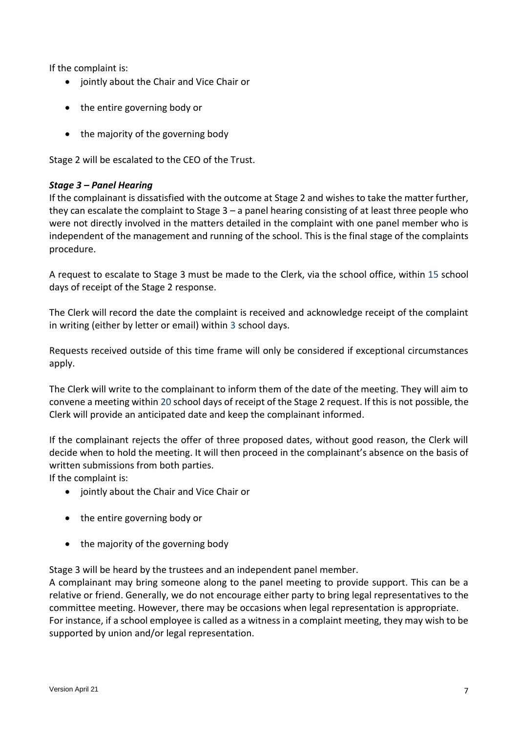If the complaint is:

- jointly about the Chair and Vice Chair or
- the entire governing body or
- the majority of the governing body

Stage 2 will be escalated to the CEO of the Trust.

## *Stage 3 – Panel Hearing*

If the complainant is dissatisfied with the outcome at Stage 2 and wishes to take the matter further, they can escalate the complaint to Stage  $3 - a$  panel hearing consisting of at least three people who were not directly involved in the matters detailed in the complaint with one panel member who is independent of the management and running of the school. This is the final stage of the complaints procedure.

A request to escalate to Stage 3 must be made to the Clerk, via the school office, within 15 school days of receipt of the Stage 2 response.

The Clerk will record the date the complaint is received and acknowledge receipt of the complaint in writing (either by letter or email) within 3 school days.

Requests received outside of this time frame will only be considered if exceptional circumstances apply.

The Clerk will write to the complainant to inform them of the date of the meeting. They will aim to convene a meeting within 20 school days of receipt of the Stage 2 request. If this is not possible, the Clerk will provide an anticipated date and keep the complainant informed.

If the complainant rejects the offer of three proposed dates, without good reason, the Clerk will decide when to hold the meeting. It will then proceed in the complainant's absence on the basis of written submissions from both parties.

If the complaint is:

- iointly about the Chair and Vice Chair or
- the entire governing body or
- the majority of the governing body

Stage 3 will be heard by the trustees and an independent panel member.

A complainant may bring someone along to the panel meeting to provide support. This can be a relative or friend. Generally, we do not encourage either party to bring legal representatives to the committee meeting. However, there may be occasions when legal representation is appropriate. For instance, if a school employee is called as a witness in a complaint meeting, they may wish to be supported by union and/or legal representation.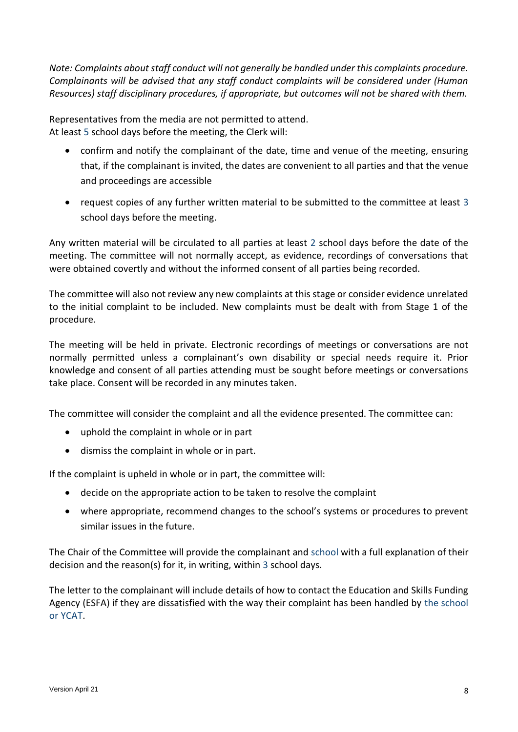*Note: Complaints about staff conduct will not generally be handled under this complaints procedure. Complainants will be advised that any staff conduct complaints will be considered under (Human Resources) staff disciplinary procedures, if appropriate, but outcomes will not be shared with them.* 

Representatives from the media are not permitted to attend. At least 5 school days before the meeting, the Clerk will:

- confirm and notify the complainant of the date, time and venue of the meeting, ensuring that, if the complainant is invited, the dates are convenient to all parties and that the venue and proceedings are accessible
- request copies of any further written material to be submitted to the committee at least 3 school days before the meeting.

Any written material will be circulated to all parties at least 2 school days before the date of the meeting. The committee will not normally accept, as evidence, recordings of conversations that were obtained covertly and without the informed consent of all parties being recorded.

The committee will also not review any new complaints at this stage or consider evidence unrelated to the initial complaint to be included. New complaints must be dealt with from Stage 1 of the procedure.

The meeting will be held in private. Electronic recordings of meetings or conversations are not normally permitted unless a complainant's own disability or special needs require it. Prior knowledge and consent of all parties attending must be sought before meetings or conversations take place. Consent will be recorded in any minutes taken.

The committee will consider the complaint and all the evidence presented. The committee can:

- uphold the complaint in whole or in part
- dismiss the complaint in whole or in part.

If the complaint is upheld in whole or in part, the committee will:

- decide on the appropriate action to be taken to resolve the complaint
- where appropriate, recommend changes to the school's systems or procedures to prevent similar issues in the future.

The Chair of the Committee will provide the complainant and school with a full explanation of their decision and the reason(s) for it, in writing, within 3 school days.

The letter to the complainant will include details of how to contact the Education and Skills Funding Agency (ESFA) if they are dissatisfied with the way their complaint has been handled by the school or YCAT.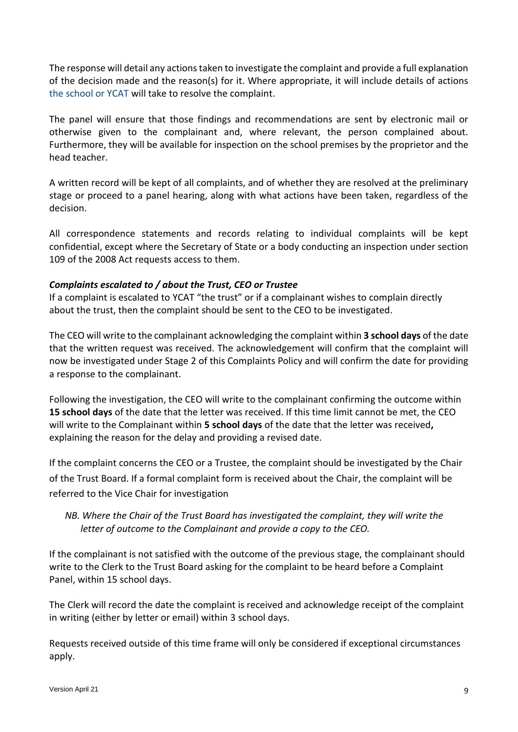The response will detail any actions taken to investigate the complaint and provide a full explanation of the decision made and the reason(s) for it. Where appropriate, it will include details of actions the school or YCAT will take to resolve the complaint.

The panel will ensure that those findings and recommendations are sent by electronic mail or otherwise given to the complainant and, where relevant, the person complained about. Furthermore, they will be available for inspection on the school premises by the proprietor and the head teacher.

A written record will be kept of all complaints, and of whether they are resolved at the preliminary stage or proceed to a panel hearing, along with what actions have been taken, regardless of the decision.

All correspondence statements and records relating to individual complaints will be kept confidential, except where the Secretary of State or a body conducting an inspection under section 109 of the 2008 Act requests access to them.

# *Complaints escalated to / about the Trust, CEO or Trustee*

If a complaint is escalated to YCAT "the trust" or if a complainant wishes to complain directly about the trust, then the complaint should be sent to the CEO to be investigated.

The CEO will write to the complainant acknowledging the complaint within **3 school days** of the date that the written request was received. The acknowledgement will confirm that the complaint will now be investigated under Stage 2 of this Complaints Policy and will confirm the date for providing a response to the complainant.

Following the investigation, the CEO will write to the complainant confirming the outcome within **15 school days** of the date that the letter was received. If this time limit cannot be met, the CEO will write to the Complainant within **5 school days** of the date that the letter was received**,**  explaining the reason for the delay and providing a revised date.

If the complaint concerns the CEO or a Trustee, the complaint should be investigated by the Chair of the Trust Board. If a formal complaint form is received about the Chair, the complaint will be referred to the Vice Chair for investigation

# *NB. Where the Chair of the Trust Board has investigated the complaint, they will write the letter of outcome to the Complainant and provide a copy to the CEO.*

If the complainant is not satisfied with the outcome of the previous stage, the complainant should write to the Clerk to the Trust Board asking for the complaint to be heard before a Complaint Panel, within 15 school days.

The Clerk will record the date the complaint is received and acknowledge receipt of the complaint in writing (either by letter or email) within 3 school days.

Requests received outside of this time frame will only be considered if exceptional circumstances apply.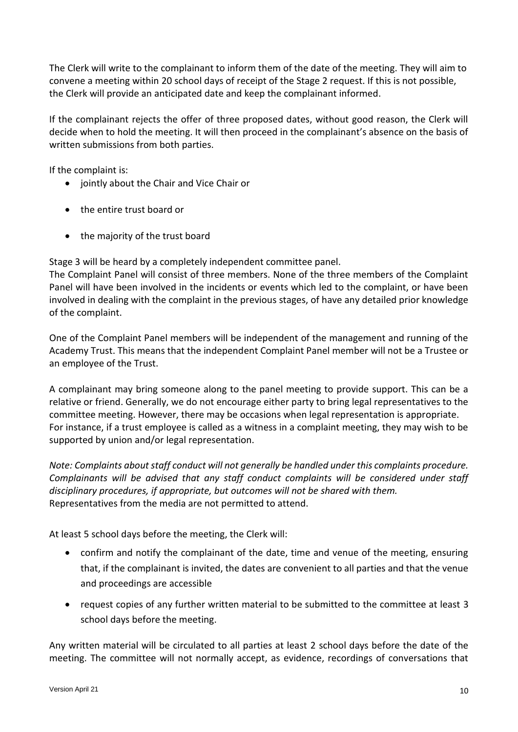The Clerk will write to the complainant to inform them of the date of the meeting. They will aim to convene a meeting within 20 school days of receipt of the Stage 2 request. If this is not possible, the Clerk will provide an anticipated date and keep the complainant informed.

If the complainant rejects the offer of three proposed dates, without good reason, the Clerk will decide when to hold the meeting. It will then proceed in the complainant's absence on the basis of written submissions from both parties.

If the complaint is:

- jointly about the Chair and Vice Chair or
- the entire trust board or
- the majority of the trust board

Stage 3 will be heard by a completely independent committee panel.

The Complaint Panel will consist of three members. None of the three members of the Complaint Panel will have been involved in the incidents or events which led to the complaint, or have been involved in dealing with the complaint in the previous stages, of have any detailed prior knowledge of the complaint.

One of the Complaint Panel members will be independent of the management and running of the Academy Trust. This means that the independent Complaint Panel member will not be a Trustee or an employee of the Trust.

A complainant may bring someone along to the panel meeting to provide support. This can be a relative or friend. Generally, we do not encourage either party to bring legal representatives to the committee meeting. However, there may be occasions when legal representation is appropriate. For instance, if a trust employee is called as a witness in a complaint meeting, they may wish to be supported by union and/or legal representation.

*Note: Complaints about staff conduct will not generally be handled under this complaints procedure. Complainants will be advised that any staff conduct complaints will be considered under staff disciplinary procedures, if appropriate, but outcomes will not be shared with them.*  Representatives from the media are not permitted to attend.

At least 5 school days before the meeting, the Clerk will:

- confirm and notify the complainant of the date, time and venue of the meeting, ensuring that, if the complainant is invited, the dates are convenient to all parties and that the venue and proceedings are accessible
- request copies of any further written material to be submitted to the committee at least 3 school days before the meeting.

Any written material will be circulated to all parties at least 2 school days before the date of the meeting. The committee will not normally accept, as evidence, recordings of conversations that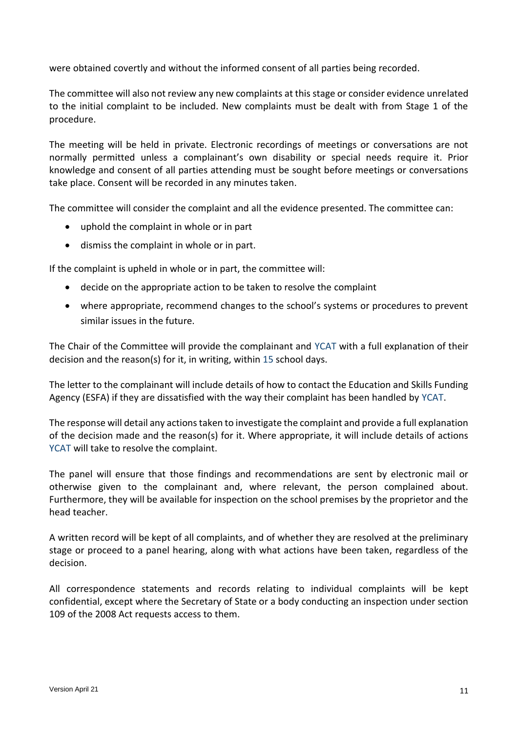were obtained covertly and without the informed consent of all parties being recorded.

The committee will also not review any new complaints at this stage or consider evidence unrelated to the initial complaint to be included. New complaints must be dealt with from Stage 1 of the procedure.

The meeting will be held in private. Electronic recordings of meetings or conversations are not normally permitted unless a complainant's own disability or special needs require it. Prior knowledge and consent of all parties attending must be sought before meetings or conversations take place. Consent will be recorded in any minutes taken.

The committee will consider the complaint and all the evidence presented. The committee can:

- uphold the complaint in whole or in part
- dismiss the complaint in whole or in part.

If the complaint is upheld in whole or in part, the committee will:

- decide on the appropriate action to be taken to resolve the complaint
- where appropriate, recommend changes to the school's systems or procedures to prevent similar issues in the future.

The Chair of the Committee will provide the complainant and YCAT with a full explanation of their decision and the reason(s) for it, in writing, within 15 school days.

The letter to the complainant will include details of how to contact the Education and Skills Funding Agency (ESFA) if they are dissatisfied with the way their complaint has been handled by YCAT.

The response will detail any actions taken to investigate the complaint and provide a full explanation of the decision made and the reason(s) for it. Where appropriate, it will include details of actions YCAT will take to resolve the complaint.

The panel will ensure that those findings and recommendations are sent by electronic mail or otherwise given to the complainant and, where relevant, the person complained about. Furthermore, they will be available for inspection on the school premises by the proprietor and the head teacher.

A written record will be kept of all complaints, and of whether they are resolved at the preliminary stage or proceed to a panel hearing, along with what actions have been taken, regardless of the decision.

All correspondence statements and records relating to individual complaints will be kept confidential, except where the Secretary of State or a body conducting an inspection under section 109 of the 2008 Act requests access to them.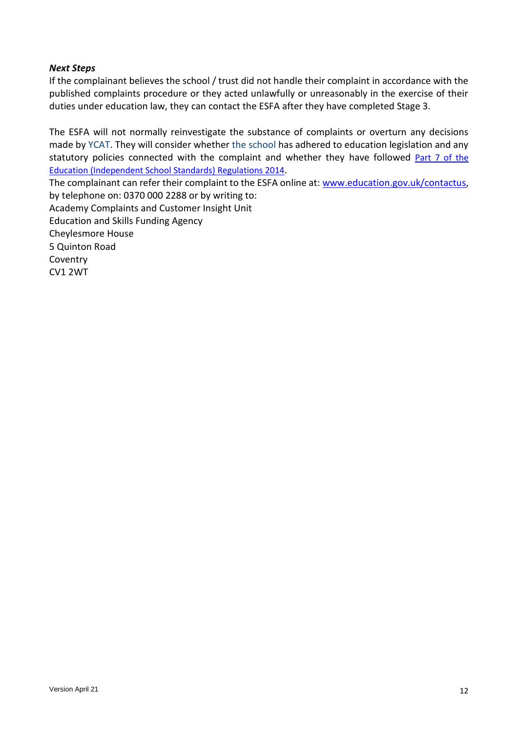## *Next Steps*

If the complainant believes the school / trust did not handle their complaint in accordance with the published complaints procedure or they acted unlawfully or unreasonably in the exercise of their duties under education law, they can contact the ESFA after they have completed Stage 3.

The ESFA will not normally reinvestigate the substance of complaints or overturn any decisions made by YCAT. They will consider whether the school has adhered to education legislation and any statutory policies connected with the complaint and whether they have followed [Part 7 of the](http://www.legislation.gov.uk/uksi/2010/1997/schedule/1/made)  [Education \(Independent School Standards\)](http://www.legislation.gov.uk/uksi/2010/1997/schedule/1/made) Regulations 2014.

The complainant can refer their complaint to the ESFA online at: [www.education.gov.uk/contactus,](http://www.education.gov.uk/contactus) by telephone on: 0370 000 2288 or by writing to: Academy Complaints and Customer Insight Unit Education and Skills Funding Agency Cheylesmore House 5 Quinton Road Coventry CV1 2WT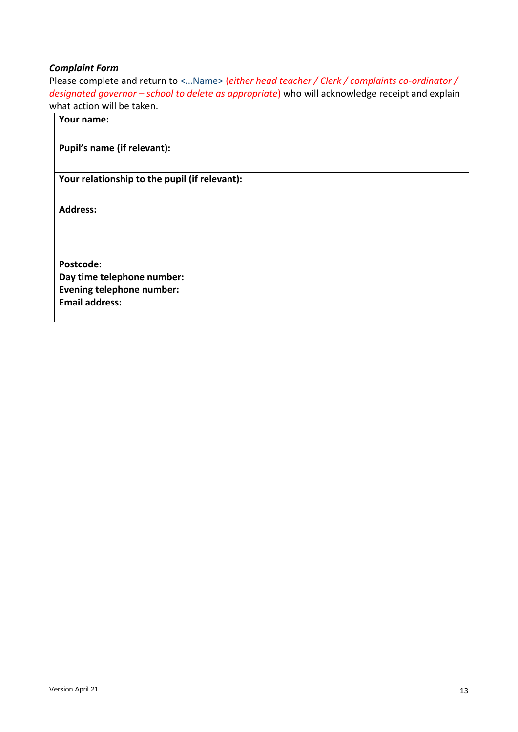### *Complaint Form*

Please complete and return to <…Name> (*either head teacher / Clerk / complaints co-ordinator / designated governor – school to delete as appropriate*) who will acknowledge receipt and explain what action will be taken.

# **Your name:**

# **Pupil's name (if relevant):**

**Your relationship to the pupil (if relevant):**

**Address:** 

**Postcode: Day time telephone number: Evening telephone number: Email address:**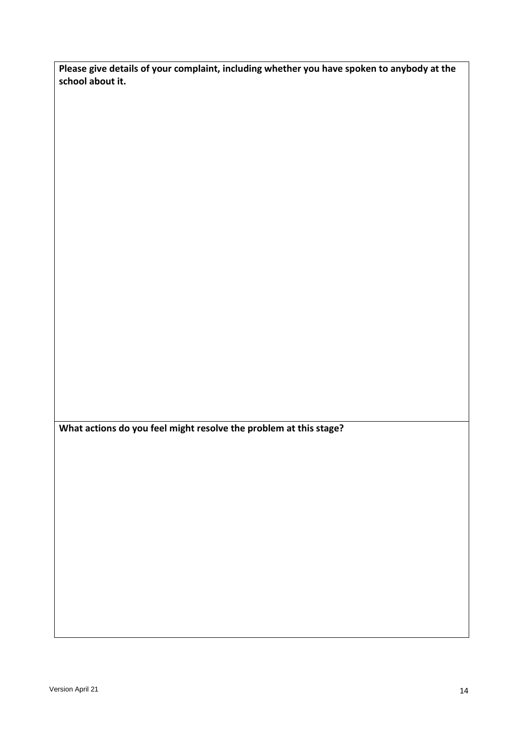**Please give details of your complaint, including whether you have spoken to anybody at the school about it.**

**What actions do you feel might resolve the problem at this stage?**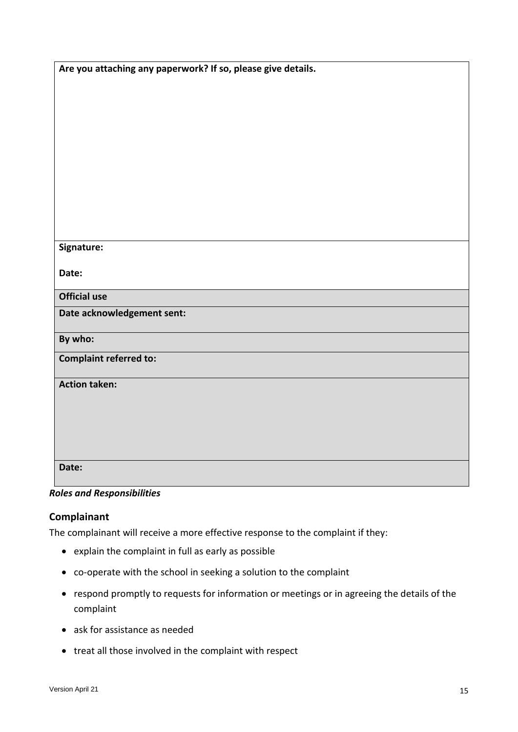| Are you attaching any paperwork? If so, please give details. |
|--------------------------------------------------------------|
|                                                              |
|                                                              |
|                                                              |
|                                                              |
|                                                              |
|                                                              |
|                                                              |
|                                                              |
|                                                              |
|                                                              |
| Signature:                                                   |
|                                                              |
| Date:                                                        |
| <b>Official use</b>                                          |
| Date acknowledgement sent:                                   |
|                                                              |
| By who:                                                      |
| <b>Complaint referred to:</b>                                |
| <b>Action taken:</b>                                         |
|                                                              |
|                                                              |
|                                                              |
|                                                              |
| Date:                                                        |
|                                                              |
|                                                              |

# *Roles and Responsibilities*

# **Complainant**

The complainant will receive a more effective response to the complaint if they:

- explain the complaint in full as early as possible
- co-operate with the school in seeking a solution to the complaint
- respond promptly to requests for information or meetings or in agreeing the details of the complaint
- ask for assistance as needed
- treat all those involved in the complaint with respect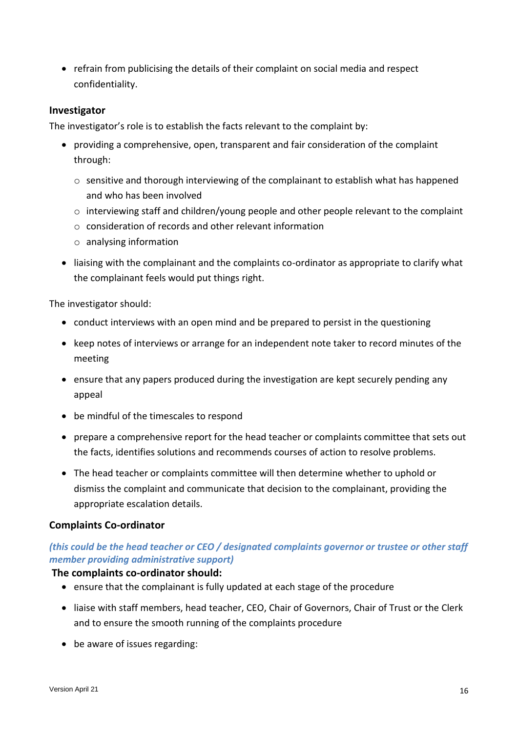refrain from publicising the details of their complaint on social media and respect confidentiality.

## **Investigator**

The investigator's role is to establish the facts relevant to the complaint by:

- providing a comprehensive, open, transparent and fair consideration of the complaint through:
	- o sensitive and thorough interviewing of the complainant to establish what has happened and who has been involved
	- o interviewing staff and children/young people and other people relevant to the complaint
	- o consideration of records and other relevant information
	- o analysing information
- liaising with the complainant and the complaints co-ordinator as appropriate to clarify what the complainant feels would put things right.

The investigator should:

- conduct interviews with an open mind and be prepared to persist in the questioning
- keep notes of interviews or arrange for an independent note taker to record minutes of the meeting
- ensure that any papers produced during the investigation are kept securely pending any appeal
- be mindful of the timescales to respond
- prepare a comprehensive report for the head teacher or complaints committee that sets out the facts, identifies solutions and recommends courses of action to resolve problems.
- The head teacher or complaints committee will then determine whether to uphold or dismiss the complaint and communicate that decision to the complainant, providing the appropriate escalation details.

# **Complaints Co-ordinator**

# *(this could be the head teacher or CEO / designated complaints governor or trustee or other staff member providing administrative support)*

### **The complaints co-ordinator should:**

- ensure that the complainant is fully updated at each stage of the procedure
- liaise with staff members, head teacher, CEO, Chair of Governors, Chair of Trust or the Clerk and to ensure the smooth running of the complaints procedure
- be aware of issues regarding: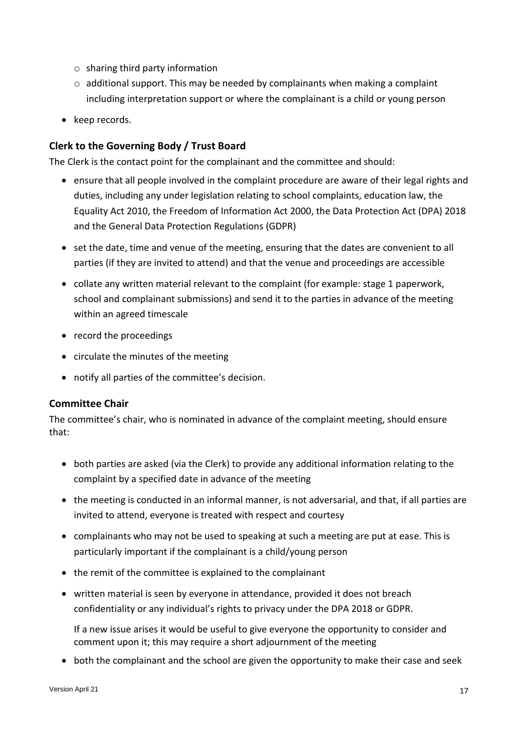- $\circ$  sharing third party information
- $\circ$  additional support. This may be needed by complainants when making a complaint including interpretation support or where the complainant is a child or young person
- keep records.

# **Clerk to the Governing Body / Trust Board**

The Clerk is the contact point for the complainant and the committee and should:

- ensure that all people involved in the complaint procedure are aware of their legal rights and duties, including any under legislation relating to school complaints, education law, the Equality Act 2010, the Freedom of Information Act 2000, the Data Protection Act (DPA) 2018 and the General Data Protection Regulations (GDPR)
- set the date, time and venue of the meeting, ensuring that the dates are convenient to all parties (if they are invited to attend) and that the venue and proceedings are accessible
- collate any written material relevant to the complaint (for example: stage 1 paperwork, school and complainant submissions) and send it to the parties in advance of the meeting within an agreed timescale
- record the proceedings
- circulate the minutes of the meeting
- notify all parties of the committee's decision.

# **Committee Chair**

The committee's chair, who is nominated in advance of the complaint meeting, should ensure that:

- both parties are asked (via the Clerk) to provide any additional information relating to the complaint by a specified date in advance of the meeting
- the meeting is conducted in an informal manner, is not adversarial, and that, if all parties are invited to attend, everyone is treated with respect and courtesy
- complainants who may not be used to speaking at such a meeting are put at ease. This is particularly important if the complainant is a child/young person
- the remit of the committee is explained to the complainant
- written material is seen by everyone in attendance, provided it does not breach confidentiality or any individual's rights to privacy under the DPA 2018 or GDPR.

If a new issue arises it would be useful to give everyone the opportunity to consider and comment upon it; this may require a short adjournment of the meeting

both the complainant and the school are given the opportunity to make their case and seek